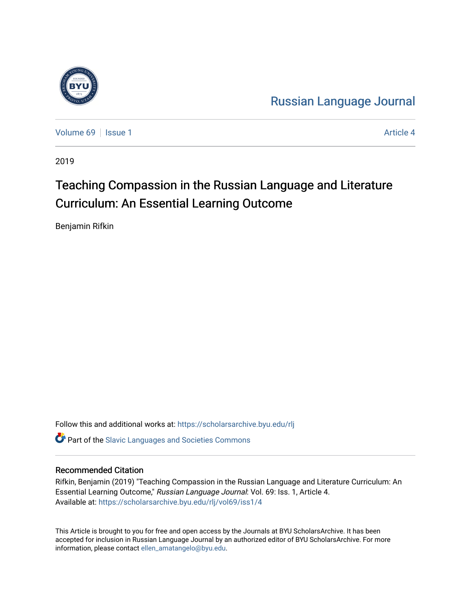

[Russian Language Journal](https://scholarsarchive.byu.edu/rlj) 

[Volume 69](https://scholarsarchive.byu.edu/rlj/vol69) | [Issue 1](https://scholarsarchive.byu.edu/rlj/vol69/iss1) Article 4

2019

# Teaching Compassion in the Russian Language and Literature Curriculum: An Essential Learning Outcome

Benjamin Rifkin

Follow this and additional works at: [https://scholarsarchive.byu.edu/rlj](https://scholarsarchive.byu.edu/rlj?utm_source=scholarsarchive.byu.edu%2Frlj%2Fvol69%2Fiss1%2F4&utm_medium=PDF&utm_campaign=PDFCoverPages)

**C** Part of the Slavic Languages and Societies Commons

#### Recommended Citation

Rifkin, Benjamin (2019) "Teaching Compassion in the Russian Language and Literature Curriculum: An Essential Learning Outcome," Russian Language Journal: Vol. 69: Iss. 1, Article 4. Available at: [https://scholarsarchive.byu.edu/rlj/vol69/iss1/4](https://scholarsarchive.byu.edu/rlj/vol69/iss1/4?utm_source=scholarsarchive.byu.edu%2Frlj%2Fvol69%2Fiss1%2F4&utm_medium=PDF&utm_campaign=PDFCoverPages) 

This Article is brought to you for free and open access by the Journals at BYU ScholarsArchive. It has been accepted for inclusion in Russian Language Journal by an authorized editor of BYU ScholarsArchive. For more information, please contact [ellen\\_amatangelo@byu.edu.](mailto:ellen_amatangelo@byu.edu)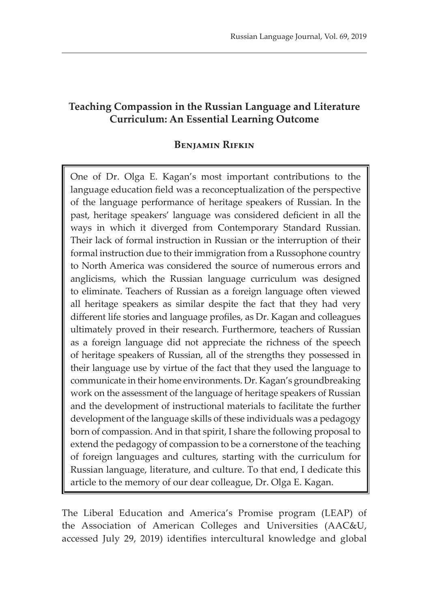# **Teaching Compassion in the Russian Language and Literature Curriculum: An Essential Learning Outcome**

## **Benjamin Rifkin**

One of Dr. Olga E. Kagan's most important contributions to the language education field was a reconceptualization of the perspective of the language performance of heritage speakers of Russian. In the past, heritage speakers' language was considered deficient in all the ways in which it diverged from Contemporary Standard Russian. Their lack of formal instruction in Russian or the interruption of their formal instruction due to their immigration from a Russophone country to North America was considered the source of numerous errors and anglicisms, which the Russian language curriculum was designed to eliminate. Teachers of Russian as a foreign language often viewed all heritage speakers as similar despite the fact that they had very different life stories and language profiles, as Dr. Kagan and colleagues ultimately proved in their research. Furthermore, teachers of Russian as a foreign language did not appreciate the richness of the speech of heritage speakers of Russian, all of the strengths they possessed in their language use by virtue of the fact that they used the language to communicate in their home environments. Dr. Kagan's groundbreaking work on the assessment of the language of heritage speakers of Russian and the development of instructional materials to facilitate the further development of the language skills of these individuals was a pedagogy born of compassion. And in that spirit, I share the following proposal to extend the pedagogy of compassion to be a cornerstone of the teaching of foreign languages and cultures, starting with the curriculum for Russian language, literature, and culture. To that end, I dedicate this article to the memory of our dear colleague, Dr. Olga E. Kagan.

The Liberal Education and America's Promise program (LEAP) of the Association of American Colleges and Universities (AAC&U, accessed July 29, 2019) identifies intercultural knowledge and global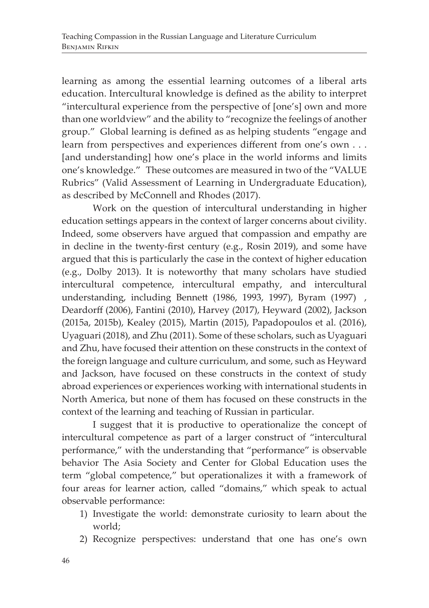learning as among the essential learning outcomes of a liberal arts education. Intercultural knowledge is defined as the ability to interpret "intercultural experience from the perspective of [one's] own and more than one worldview" and the ability to "recognize the feelings of another group." Global learning is defined as as helping students "engage and learn from perspectives and experiences different from one's own . . . [and understanding] how one's place in the world informs and limits one's knowledge." These outcomes are measured in two of the "VALUE Rubrics" (Valid Assessment of Learning in Undergraduate Education), as described by McConnell and Rhodes (2017).

Work on the question of intercultural understanding in higher education settings appears in the context of larger concerns about civility. Indeed, some observers have argued that compassion and empathy are in decline in the twenty-first century (e.g., Rosin 2019), and some have argued that this is particularly the case in the context of higher education (e.g., Dolby 2013). It is noteworthy that many scholars have studied intercultural competence, intercultural empathy, and intercultural understanding, including Bennett (1986, 1993, 1997), Byram (1997) , Deardorff (2006), Fantini (2010), Harvey (2017), Heyward (2002), Jackson (2015a, 2015b), Kealey (2015), Martin (2015), Papadopoulos et al. (2016), Uyaguari (2018), and Zhu (2011). Some of these scholars, such as Uyaguari and Zhu, have focused their attention on these constructs in the context of the foreign language and culture curriculum, and some, such as Heyward and Jackson, have focused on these constructs in the context of study abroad experiences or experiences working with international students in North America, but none of them has focused on these constructs in the context of the learning and teaching of Russian in particular.

I suggest that it is productive to operationalize the concept of intercultural competence as part of a larger construct of "intercultural performance," with the understanding that "performance" is observable behavior The Asia Society and Center for Global Education uses the term "global competence," but operationalizes it with a framework of four areas for learner action, called "domains," which speak to actual observable performance:

- 1) Investigate the world: demonstrate curiosity to learn about the world;
- 2) Recognize perspectives: understand that one has one's own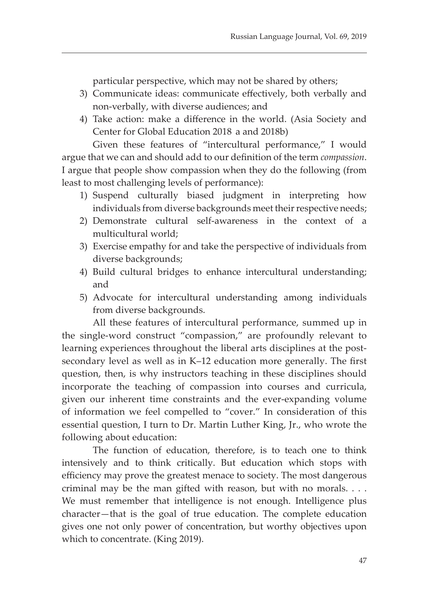particular perspective, which may not be shared by others;

- 3) Communicate ideas: communicate effectively, both verbally and non-verbally, with diverse audiences; and
- 4) Take action: make a difference in the world. (Asia Society and Center for Global Education 2018 a and 2018b)

Given these features of "intercultural performance," I would argue that we can and should add to our definition of the term *compassion*. I argue that people show compassion when they do the following (from least to most challenging levels of performance):

- 1) Suspend culturally biased judgment in interpreting how individuals from diverse backgrounds meet their respective needs;
- 2) Demonstrate cultural self-awareness in the context of a multicultural world;
- 3) Exercise empathy for and take the perspective of individuals from diverse backgrounds;
- 4) Build cultural bridges to enhance intercultural understanding; and
- 5) Advocate for intercultural understanding among individuals from diverse backgrounds.

All these features of intercultural performance, summed up in the single-word construct "compassion," are profoundly relevant to learning experiences throughout the liberal arts disciplines at the postsecondary level as well as in K–12 education more generally. The first question, then, is why instructors teaching in these disciplines should incorporate the teaching of compassion into courses and curricula, given our inherent time constraints and the ever-expanding volume of information we feel compelled to "cover." In consideration of this essential question, I turn to Dr. Martin Luther King, Jr., who wrote the following about education:

The function of education, therefore, is to teach one to think intensively and to think critically. But education which stops with efficiency may prove the greatest menace to society. The most dangerous criminal may be the man gifted with reason, but with no morals. . . . We must remember that intelligence is not enough. Intelligence plus character—that is the goal of true education. The complete education gives one not only power of concentration, but worthy objectives upon which to concentrate. (King 2019).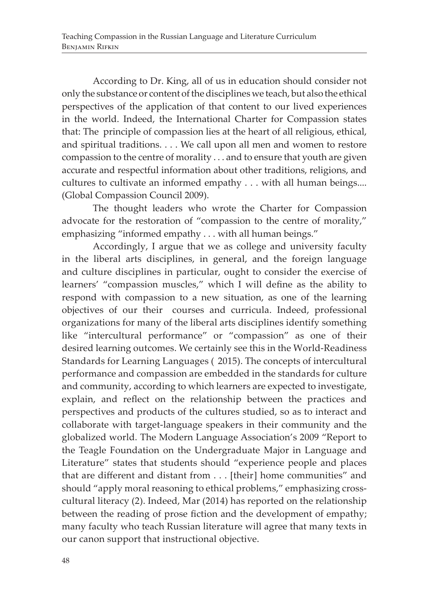According to Dr. King, all of us in education should consider not only the substance or content of the disciplines we teach, but also the ethical perspectives of the application of that content to our lived experiences in the world. Indeed, the International Charter for Compassion states that: The principle of compassion lies at the heart of all religious, ethical, and spiritual traditions. . . . We call upon all men and women to restore compassion to the centre of morality . . . and to ensure that youth are given accurate and respectful information about other traditions, religions, and cultures to cultivate an informed empathy . . . with all human beings.... (Global Compassion Council 2009).

The thought leaders who wrote the Charter for Compassion advocate for the restoration of "compassion to the centre of morality," emphasizing "informed empathy . . . with all human beings."

Accordingly, I argue that we as college and university faculty in the liberal arts disciplines, in general, and the foreign language and culture disciplines in particular, ought to consider the exercise of learners' "compassion muscles," which I will define as the ability to respond with compassion to a new situation, as one of the learning objectives of our their courses and curricula. Indeed, professional organizations for many of the liberal arts disciplines identify something like "intercultural performance" or "compassion" as one of their desired learning outcomes. We certainly see this in the World-Readiness Standards for Learning Languages (2015). The concepts of intercultural performance and compassion are embedded in the standards for culture and community, according to which learners are expected to investigate, explain, and reflect on the relationship between the practices and perspectives and products of the cultures studied, so as to interact and collaborate with target-language speakers in their community and the globalized world. The Modern Language Association's 2009 "Report to the Teagle Foundation on the Undergraduate Major in Language and Literature" states that students should "experience people and places that are different and distant from . . . [their] home communities" and should "apply moral reasoning to ethical problems," emphasizing crosscultural literacy (2). Indeed, Mar (2014) has reported on the relationship between the reading of prose fiction and the development of empathy; many faculty who teach Russian literature will agree that many texts in our canon support that instructional objective.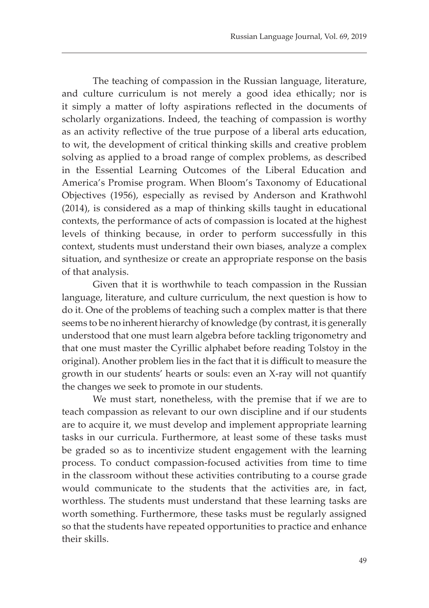The teaching of compassion in the Russian language, literature, and culture curriculum is not merely a good idea ethically; nor is it simply a matter of lofty aspirations reflected in the documents of scholarly organizations. Indeed, the teaching of compassion is worthy as an activity reflective of the true purpose of a liberal arts education, to wit, the development of critical thinking skills and creative problem solving as applied to a broad range of complex problems, as described in the Essential Learning Outcomes of the Liberal Education and America's Promise program. When Bloom's Taxonomy of Educational Objectives (1956), especially as revised by Anderson and Krathwohl (2014), is considered as a map of thinking skills taught in educational contexts, the performance of acts of compassion is located at the highest levels of thinking because, in order to perform successfully in this context, students must understand their own biases, analyze a complex situation, and synthesize or create an appropriate response on the basis of that analysis.

Given that it is worthwhile to teach compassion in the Russian language, literature, and culture curriculum, the next question is how to do it. One of the problems of teaching such a complex matter is that there seems to be no inherent hierarchy of knowledge (by contrast, it is generally understood that one must learn algebra before tackling trigonometry and that one must master the Cyrillic alphabet before reading Tolstoy in the original). Another problem lies in the fact that it is difficult to measure the growth in our students' hearts or souls: even an X-ray will not quantify the changes we seek to promote in our students.

We must start, nonetheless, with the premise that if we are to teach compassion as relevant to our own discipline and if our students are to acquire it, we must develop and implement appropriate learning tasks in our curricula. Furthermore, at least some of these tasks must be graded so as to incentivize student engagement with the learning process. To conduct compassion-focused activities from time to time in the classroom without these activities contributing to a course grade would communicate to the students that the activities are, in fact, worthless. The students must understand that these learning tasks are worth something. Furthermore, these tasks must be regularly assigned so that the students have repeated opportunities to practice and enhance their skills.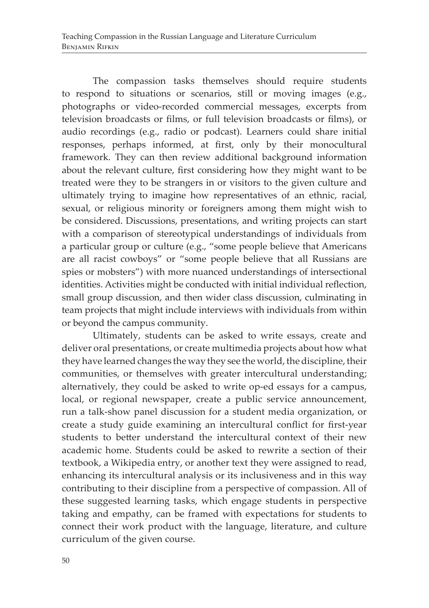The compassion tasks themselves should require students to respond to situations or scenarios, still or moving images (e.g., photographs or video-recorded commercial messages, excerpts from television broadcasts or films, or full television broadcasts or films), or audio recordings (e.g., radio or podcast). Learners could share initial responses, perhaps informed, at first, only by their monocultural framework. They can then review additional background information about the relevant culture, first considering how they might want to be treated were they to be strangers in or visitors to the given culture and ultimately trying to imagine how representatives of an ethnic, racial, sexual, or religious minority or foreigners among them might wish to be considered. Discussions, presentations, and writing projects can start with a comparison of stereotypical understandings of individuals from a particular group or culture (e.g., "some people believe that Americans are all racist cowboys" or "some people believe that all Russians are spies or mobsters") with more nuanced understandings of intersectional identities. Activities might be conducted with initial individual reflection, small group discussion, and then wider class discussion, culminating in team projects that might include interviews with individuals from within or beyond the campus community.

Ultimately, students can be asked to write essays, create and deliver oral presentations, or create multimedia projects about how what they have learned changes the way they see the world, the discipline, their communities, or themselves with greater intercultural understanding; alternatively, they could be asked to write op-ed essays for a campus, local, or regional newspaper, create a public service announcement, run a talk-show panel discussion for a student media organization, or create a study guide examining an intercultural conflict for first-year students to better understand the intercultural context of their new academic home. Students could be asked to rewrite a section of their textbook, a Wikipedia entry, or another text they were assigned to read, enhancing its intercultural analysis or its inclusiveness and in this way contributing to their discipline from a perspective of compassion. All of these suggested learning tasks, which engage students in perspective taking and empathy, can be framed with expectations for students to connect their work product with the language, literature, and culture curriculum of the given course.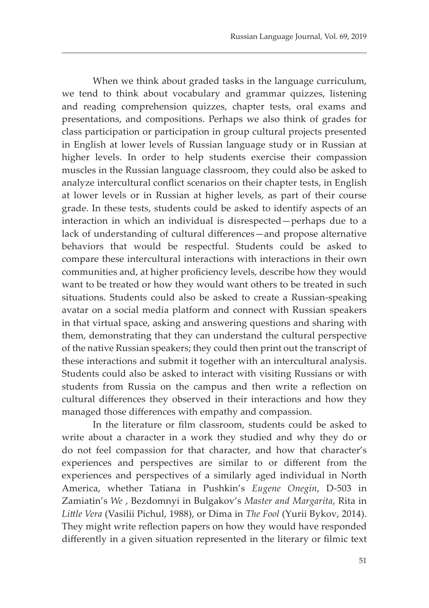When we think about graded tasks in the language curriculum, we tend to think about vocabulary and grammar quizzes, listening and reading comprehension quizzes, chapter tests, oral exams and presentations, and compositions. Perhaps we also think of grades for class participation or participation in group cultural projects presented in English at lower levels of Russian language study or in Russian at higher levels. In order to help students exercise their compassion muscles in the Russian language classroom, they could also be asked to analyze intercultural conflict scenarios on their chapter tests, in English at lower levels or in Russian at higher levels, as part of their course grade. In these tests, students could be asked to identify aspects of an interaction in which an individual is disrespected—perhaps due to a lack of understanding of cultural differences—and propose alternative behaviors that would be respectful. Students could be asked to compare these intercultural interactions with interactions in their own communities and, at higher proficiency levels, describe how they would want to be treated or how they would want others to be treated in such situations. Students could also be asked to create a Russian-speaking avatar on a social media platform and connect with Russian speakers in that virtual space, asking and answering questions and sharing with them, demonstrating that they can understand the cultural perspective of the native Russian speakers; they could then print out the transcript of these interactions and submit it together with an intercultural analysis. Students could also be asked to interact with visiting Russians or with students from Russia on the campus and then write a reflection on cultural differences they observed in their interactions and how they managed those differences with empathy and compassion.

In the literature or film classroom, students could be asked to write about a character in a work they studied and why they do or do not feel compassion for that character, and how that character's experiences and perspectives are similar to or different from the experiences and perspectives of a similarly aged individual in North America, whether Tatiana in Pushkin's *Eugene Onegin*, D-503 in Zamiatin's *We* , Bezdomnyi in Bulgakov's *Master and Margarita*, Rita in *Little Vera* (Vasilii Pichul, 1988), or Dima in *The Fool* (Yurii Bykov, 2014). They might write reflection papers on how they would have responded differently in a given situation represented in the literary or filmic text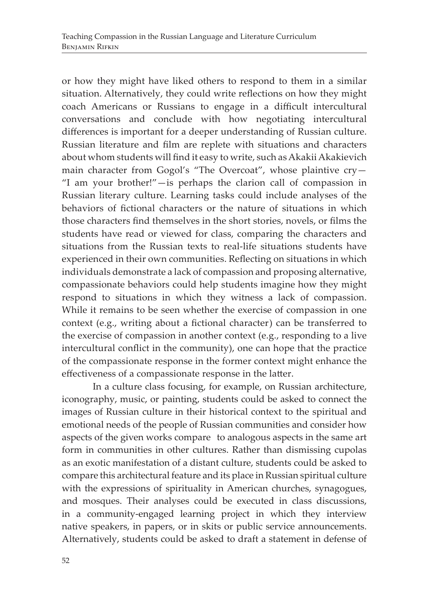or how they might have liked others to respond to them in a similar situation. Alternatively, they could write reflections on how they might coach Americans or Russians to engage in a difficult intercultural conversations and conclude with how negotiating intercultural differences is important for a deeper understanding of Russian culture. Russian literature and film are replete with situations and characters about whom students will find it easy to write, such as Akakii Akakievich main character from Gogol's "The Overcoat", whose plaintive cry— "I am your brother!"—is perhaps the clarion call of compassion in Russian literary culture. Learning tasks could include analyses of the behaviors of fictional characters or the nature of situations in which those characters find themselves in the short stories, novels, or films the students have read or viewed for class, comparing the characters and situations from the Russian texts to real-life situations students have experienced in their own communities. Reflecting on situations in which individuals demonstrate a lack of compassion and proposing alternative, compassionate behaviors could help students imagine how they might respond to situations in which they witness a lack of compassion. While it remains to be seen whether the exercise of compassion in one context (e.g., writing about a fictional character) can be transferred to the exercise of compassion in another context (e.g., responding to a live intercultural conflict in the community), one can hope that the practice of the compassionate response in the former context might enhance the effectiveness of a compassionate response in the latter.

In a culture class focusing, for example, on Russian architecture, iconography, music, or painting, students could be asked to connect the images of Russian culture in their historical context to the spiritual and emotional needs of the people of Russian communities and consider how aspects of the given works compare to analogous aspects in the same art form in communities in other cultures. Rather than dismissing cupolas as an exotic manifestation of a distant culture, students could be asked to compare this architectural feature and its place in Russian spiritual culture with the expressions of spirituality in American churches, synagogues, and mosques. Their analyses could be executed in class discussions, in a community-engaged learning project in which they interview native speakers, in papers, or in skits or public service announcements. Alternatively, students could be asked to draft a statement in defense of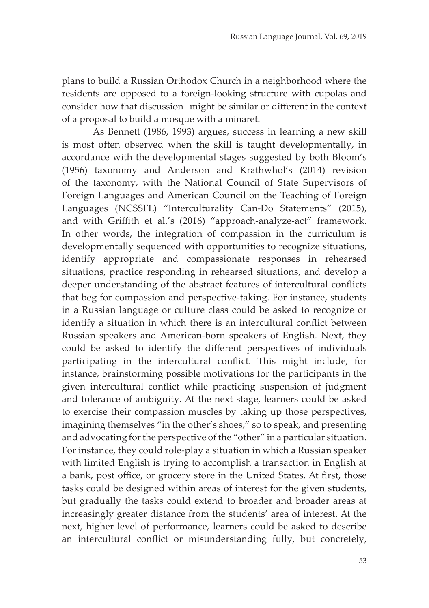plans to build a Russian Orthodox Church in a neighborhood where the residents are opposed to a foreign-looking structure with cupolas and consider how that discussion might be similar or different in the context of a proposal to build a mosque with a minaret.

As Bennett (1986, 1993) argues, success in learning a new skill is most often observed when the skill is taught developmentally, in accordance with the developmental stages suggested by both Bloom's (1956) taxonomy and Anderson and Krathwhol's (2014) revision of the taxonomy, with the National Council of State Supervisors of Foreign Languages and American Council on the Teaching of Foreign Languages (NCSSFL) "Interculturality Can-Do Statements" (2015), and with Griffith et al.'s (2016) "approach-analyze-act" framework. In other words, the integration of compassion in the curriculum is developmentally sequenced with opportunities to recognize situations, identify appropriate and compassionate responses in rehearsed situations, practice responding in rehearsed situations, and develop a deeper understanding of the abstract features of intercultural conflicts that beg for compassion and perspective-taking. For instance, students in a Russian language or culture class could be asked to recognize or identify a situation in which there is an intercultural conflict between Russian speakers and American-born speakers of English. Next, they could be asked to identify the different perspectives of individuals participating in the intercultural conflict. This might include, for instance, brainstorming possible motivations for the participants in the given intercultural conflict while practicing suspension of judgment and tolerance of ambiguity. At the next stage, learners could be asked to exercise their compassion muscles by taking up those perspectives, imagining themselves "in the other's shoes," so to speak, and presenting and advocating for the perspective of the "other" in a particular situation. For instance, they could role-play a situation in which a Russian speaker with limited English is trying to accomplish a transaction in English at a bank, post office, or grocery store in the United States. At first, those tasks could be designed within areas of interest for the given students, but gradually the tasks could extend to broader and broader areas at increasingly greater distance from the students' area of interest. At the next, higher level of performance, learners could be asked to describe an intercultural conflict or misunderstanding fully, but concretely,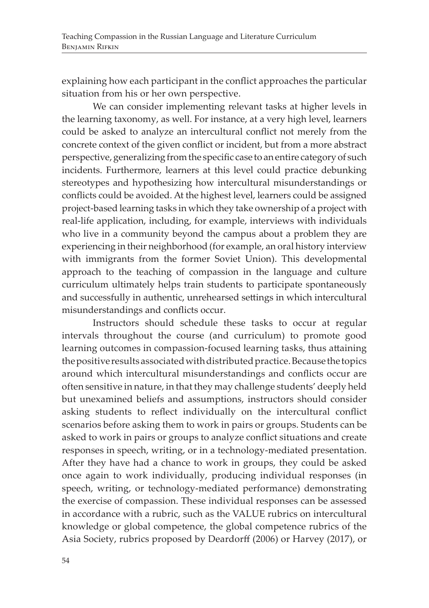explaining how each participant in the conflict approaches the particular situation from his or her own perspective.

We can consider implementing relevant tasks at higher levels in the learning taxonomy, as well. For instance, at a very high level, learners could be asked to analyze an intercultural conflict not merely from the concrete context of the given conflict or incident, but from a more abstract perspective, generalizing from the specific case to an entire category of such incidents. Furthermore, learners at this level could practice debunking stereotypes and hypothesizing how intercultural misunderstandings or conflicts could be avoided. At the highest level, learners could be assigned project-based learning tasks in which they take ownership of a project with real-life application, including, for example, interviews with individuals who live in a community beyond the campus about a problem they are experiencing in their neighborhood (for example, an oral history interview with immigrants from the former Soviet Union). This developmental approach to the teaching of compassion in the language and culture curriculum ultimately helps train students to participate spontaneously and successfully in authentic, unrehearsed settings in which intercultural misunderstandings and conflicts occur.

Instructors should schedule these tasks to occur at regular intervals throughout the course (and curriculum) to promote good learning outcomes in compassion-focused learning tasks, thus attaining the positive results associated with distributed practice. Because the topics around which intercultural misunderstandings and conflicts occur are often sensitive in nature, in that they may challenge students' deeply held but unexamined beliefs and assumptions, instructors should consider asking students to reflect individually on the intercultural conflict scenarios before asking them to work in pairs or groups. Students can be asked to work in pairs or groups to analyze conflict situations and create responses in speech, writing, or in a technology-mediated presentation. After they have had a chance to work in groups, they could be asked once again to work individually, producing individual responses (in speech, writing, or technology-mediated performance) demonstrating the exercise of compassion. These individual responses can be assessed in accordance with a rubric, such as the VALUE rubrics on intercultural knowledge or global competence, the global competence rubrics of the Asia Society, rubrics proposed by Deardorff (2006) or Harvey (2017), or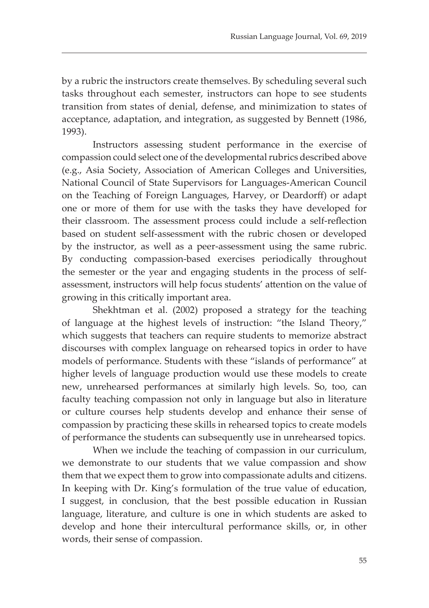by a rubric the instructors create themselves. By scheduling several such tasks throughout each semester, instructors can hope to see students transition from states of denial, defense, and minimization to states of acceptance, adaptation, and integration, as suggested by Bennett (1986, 1993).

Instructors assessing student performance in the exercise of compassion could select one of the developmental rubrics described above (e.g., Asia Society, Association of American Colleges and Universities, National Council of State Supervisors for Languages-American Council on the Teaching of Foreign Languages, Harvey, or Deardorff) or adapt one or more of them for use with the tasks they have developed for their classroom. The assessment process could include a self-reflection based on student self-assessment with the rubric chosen or developed by the instructor, as well as a peer-assessment using the same rubric. By conducting compassion-based exercises periodically throughout the semester or the year and engaging students in the process of selfassessment, instructors will help focus students' attention on the value of growing in this critically important area.

Shekhtman et al. (2002) proposed a strategy for the teaching of language at the highest levels of instruction: "the Island Theory," which suggests that teachers can require students to memorize abstract discourses with complex language on rehearsed topics in order to have models of performance. Students with these "islands of performance" at higher levels of language production would use these models to create new, unrehearsed performances at similarly high levels. So, too, can faculty teaching compassion not only in language but also in literature or culture courses help students develop and enhance their sense of compassion by practicing these skills in rehearsed topics to create models of performance the students can subsequently use in unrehearsed topics.

When we include the teaching of compassion in our curriculum, we demonstrate to our students that we value compassion and show them that we expect them to grow into compassionate adults and citizens. In keeping with Dr. King's formulation of the true value of education, I suggest, in conclusion, that the best possible education in Russian language, literature, and culture is one in which students are asked to develop and hone their intercultural performance skills, or, in other words, their sense of compassion.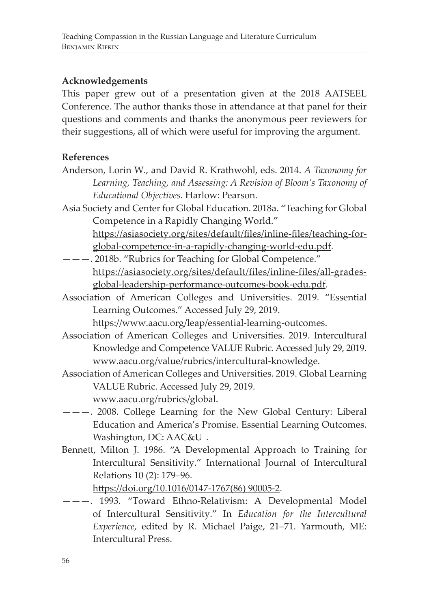### **Acknowledgements**

This paper grew out of a presentation given at the 2018 AATSEEL Conference. The author thanks those in attendance at that panel for their questions and comments and thanks the anonymous peer reviewers for their suggestions, all of which were useful for improving the argument.

#### **References**

- Anderson, Lorin W., and David R. Krathwohl, eds. 2014. *A Taxonomy for Learning, Teaching, and Assessing: A Revision of Bloom's Taxonomy of Educational Objectives.* Harlow: Pearson.
- Asia Society and Center for Global Education. 2018a. "Teaching for Global Competence in a Rapidly Changing World."
	- https://asiasociety.org/sites/default/files/inline-files/teaching-forglobal-competence-in-a-rapidly-changing-world-edu.pdf.
- ———. 2018b. "Rubrics for Teaching for Global Competence." https://asiasociety.org/sites/default/files/inline-files/all-gradesglobal-leadership-performance-outcomes-book-edu.pdf.
- Association of American Colleges and Universities. 2019. "Essential Learning Outcomes." Accessed July 29, 2019.

https://www.aacu.org/leap/essential-learning-outcomes.

- Association of American Colleges and Universities. 2019. Intercultural Knowledge and Competence VALUE Rubric. Accessed July 29, 2019. www.aacu.org/value/rubrics/intercultural-knowledge.
- Association of American Colleges and Universities. 2019. Global Learning VALUE Rubric. Accessed July 29, 2019. www.aacu.org/rubrics/global.
- ———. 2008. College Learning for the New Global Century: Liberal Education and America's Promise. Essential Learning Outcomes. Washington, DC: AAC&U.
- Bennett, Milton J. 1986. "A Developmental Approach to Training for Intercultural Sensitivity." International Journal of Intercultural Relations 10 (2): 179–96.

https://doi.org/10.1016/0147-1767(86) 90005-2.

———. 1993. "Toward Ethno-Relativism: A Developmental Model of Intercultural Sensitivity." In *Education for the Intercultural Experience*, edited by R. Michael Paige, 21–71. Yarmouth, ME: Intercultural Press.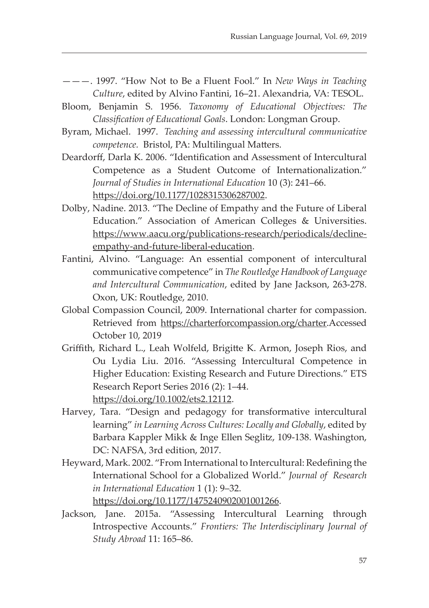- ———. 1997. "How Not to Be a Fluent Fool." In *New Ways in Teaching Culture*, edited by Alvino Fantini, 16–21. Alexandria, VA: TESOL.
- Bloom, Benjamin S. 1956. *Taxonomy of Educational Objectives: The Classification of Educational Goals*. London: Longman Group.
- Byram, Michael. 1997. *Teaching and assessing intercultural communicative competence.* Bristol, PA: Multilingual Matters.
- Deardorff, Darla K. 2006. "Identification and Assessment of Intercultural Competence as a Student Outcome of Internationalization." *Journal of Studies in International Education* 10 (3): 241–66. https://doi.org/10.1177/1028315306287002.
- Dolby, Nadine. 2013. "The Decline of Empathy and the Future of Liberal Education." Association of American Colleges & Universities. https://www.aacu.org/publications-research/periodicals/declineempathy-and-future-liberal-education.
- Fantini, Alvino. "Language: An essential component of intercultural communicative competence" in *The Routledge Handbook of Language and Intercultural Communication*, edited by Jane Jackson, 263-278. Oxon, UK: Routledge, 2010.
- Global Compassion Council, 2009. International charter for compassion. Retrieved from https://charterforcompassion.org/charter.Accessed October 10, 2019
- Griffith, Richard L., Leah Wolfeld, Brigitte K. Armon, Joseph Rios, and Ou Lydia Liu. 2016. "Assessing Intercultural Competence in Higher Education: Existing Research and Future Directions." ETS Research Report Series 2016 (2): 1–44. https://doi.org/10.1002/ets2.12112.
- Harvey, Tara. "Design and pedagogy for transformative intercultural learning" *in Learning Across Cultures: Locally and Globally*, edited by Barbara Kappler Mikk & Inge Ellen Seglitz, 109-138. Washington, DC: NAFSA, 3rd edition, 2017.
- Heyward, Mark. 2002. "From International to Intercultural: Redefining the International School for a Globalized World." *Journal of Research in International Education* 1 (1): 9–32. https://doi.org/10.1177/1475240902001001266.
- Jackson, Jane. 2015a. "Assessing Intercultural Learning through Introspective Accounts." *Frontiers: The Interdisciplinary Journal of Study Abroad* 11: 165–86.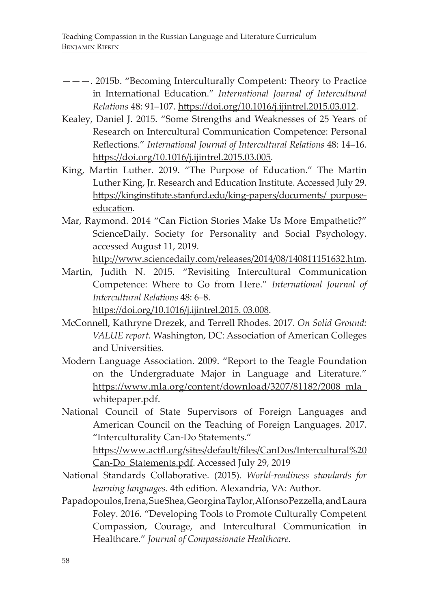- ———. 2015b. "Becoming Interculturally Competent: Theory to Practice in International Education." *International Journal of Intercultural Relations* 48: 91–107. https://doi.org/10.1016/j.ijintrel.2015.03.012.
- Kealey, Daniel J. 2015. "Some Strengths and Weaknesses of 25 Years of Research on Intercultural Communication Competence: Personal Reflections." *International Journal of Intercultural Relations* 48: 14–16. https://doi.org/10.1016/j.ijintrel.2015.03.005.
- King, Martin Luther. 2019. "The Purpose of Education." The Martin Luther King, Jr. Research and Education Institute. Accessed July 29. https://kinginstitute.stanford.edu/king-papers/documents/ purposeeducation.
- Mar, Raymond. 2014 "Can Fiction Stories Make Us More Empathetic?" ScienceDaily. Society for Personality and Social Psychology. accessed August 11, 2019.

http://www.sciencedaily.com/releases/2014/08/140811151632.htm.

- Martin, Judith N. 2015. "Revisiting Intercultural Communication Competence: Where to Go from Here." *International Journal of Intercultural Relations* 48: 6–8. https://doi.org/10.1016/j.ijintrel.2015. 03.008.
- McConnell, Kathryne Drezek, and Terrell Rhodes. 2017. *On Solid Ground: VALUE report.* Washington, DC: Association of American Colleges and Universities.
- Modern Language Association. 2009. "Report to the Teagle Foundation on the Undergraduate Major in Language and Literature." https://www.mla.org/content/download/3207/81182/2008\_mla\_ whitepaper.pdf.
- National Council of State Supervisors of Foreign Languages and American Council on the Teaching of Foreign Languages. 2017. "Interculturality Can-Do Statements."

https://www.actfl.org/sites/default/files/CanDos/Intercultural%20 Can-Do\_Statements.pdf. Accessed July 29, 2019

- National Standards Collaborative. (2015). *World-readiness standards for learning languages.* 4th edition. Alexandria, VA: Author.
- Papadopoulos, Irena, Sue Shea, Georgina Taylor, Alfonso Pezzella, and Laura Foley. 2016. "Developing Tools to Promote Culturally Competent Compassion, Courage, and Intercultural Communication in Healthcare." *Journal of Compassionate Healthcare.*